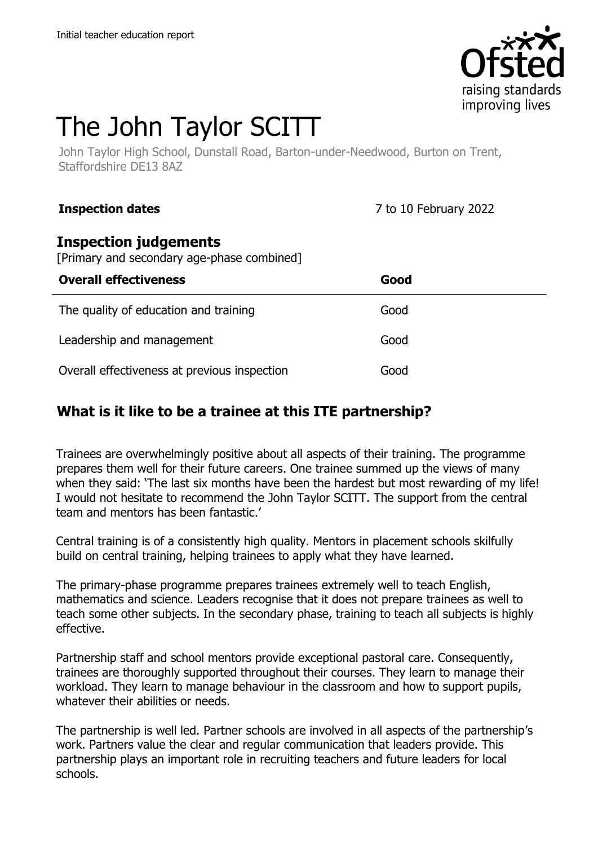

# The John Taylor SCITT

John Taylor High School, Dunstall Road, Barton-under-Needwood, Burton on Trent, Staffordshire DE13 8AZ

#### **Inspection dates** 7 to 10 February 2022

#### **Inspection judgements**

[Primary and secondary age-phase combined]

| <b>Overall effectiveness</b>                 | Good |
|----------------------------------------------|------|
| The quality of education and training        | Good |
| Leadership and management                    | Good |
| Overall effectiveness at previous inspection | Good |

### **What is it like to be a trainee at this ITE partnership?**

Trainees are overwhelmingly positive about all aspects of their training. The programme prepares them well for their future careers. One trainee summed up the views of many when they said: 'The last six months have been the hardest but most rewarding of my life! I would not hesitate to recommend the John Taylor SCITT. The support from the central team and mentors has been fantastic.'

Central training is of a consistently high quality. Mentors in placement schools skilfully build on central training, helping trainees to apply what they have learned.

The primary-phase programme prepares trainees extremely well to teach English, mathematics and science. Leaders recognise that it does not prepare trainees as well to teach some other subjects. In the secondary phase, training to teach all subjects is highly effective.

Partnership staff and school mentors provide exceptional pastoral care. Consequently, trainees are thoroughly supported throughout their courses. They learn to manage their workload. They learn to manage behaviour in the classroom and how to support pupils, whatever their abilities or needs.

The partnership is well led. Partner schools are involved in all aspects of the partnership's work. Partners value the clear and regular communication that leaders provide. This partnership plays an important role in recruiting teachers and future leaders for local schools.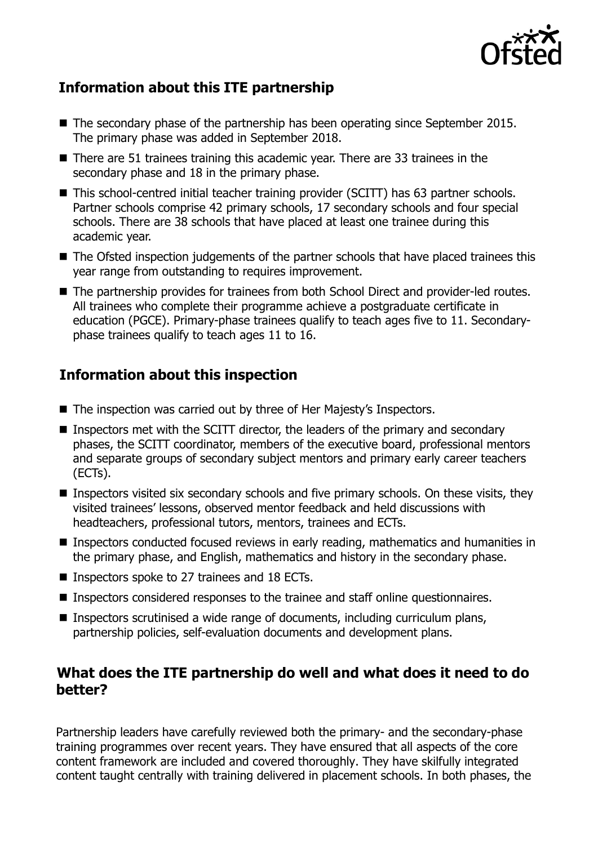

## **Information about this ITE partnership**

- The secondary phase of the partnership has been operating since September 2015. The primary phase was added in September 2018.
- There are 51 trainees training this academic year. There are 33 trainees in the secondary phase and 18 in the primary phase.
- This school-centred initial teacher training provider (SCITT) has 63 partner schools. Partner schools comprise 42 primary schools, 17 secondary schools and four special schools. There are 38 schools that have placed at least one trainee during this academic year.
- The Ofsted inspection judgements of the partner schools that have placed trainees this year range from outstanding to requires improvement.
- The partnership provides for trainees from both School Direct and provider-led routes. All trainees who complete their programme achieve a postgraduate certificate in education (PGCE). Primary-phase trainees qualify to teach ages five to 11. Secondaryphase trainees qualify to teach ages 11 to 16.

#### **Information about this inspection**

- The inspection was carried out by three of Her Majesty's Inspectors.
- Inspectors met with the SCITT director, the leaders of the primary and secondary phases, the SCITT coordinator, members of the executive board, professional mentors and separate groups of secondary subject mentors and primary early career teachers (ECTs).
- Inspectors visited six secondary schools and five primary schools. On these visits, they visited trainees' lessons, observed mentor feedback and held discussions with headteachers, professional tutors, mentors, trainees and ECTs.
- Inspectors conducted focused reviews in early reading, mathematics and humanities in the primary phase, and English, mathematics and history in the secondary phase.
- Inspectors spoke to 27 trainees and 18 ECTs.
- Inspectors considered responses to the trainee and staff online questionnaires.
- Inspectors scrutinised a wide range of documents, including curriculum plans, partnership policies, self-evaluation documents and development plans.

#### **What does the ITE partnership do well and what does it need to do better?**

Partnership leaders have carefully reviewed both the primary- and the secondary-phase training programmes over recent years. They have ensured that all aspects of the core content framework are included and covered thoroughly. They have skilfully integrated content taught centrally with training delivered in placement schools. In both phases, the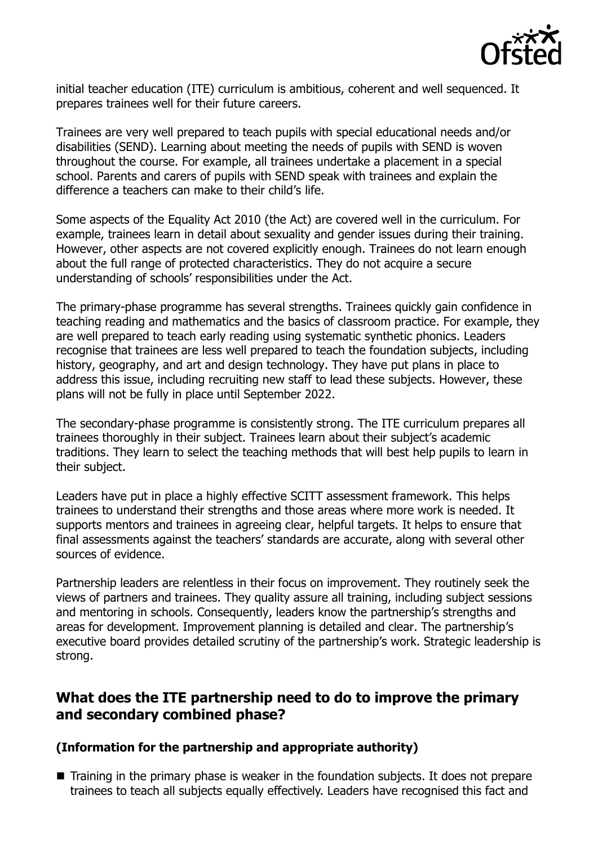

initial teacher education (ITE) curriculum is ambitious, coherent and well sequenced. It prepares trainees well for their future careers.

Trainees are very well prepared to teach pupils with special educational needs and/or disabilities (SEND). Learning about meeting the needs of pupils with SEND is woven throughout the course. For example, all trainees undertake a placement in a special school. Parents and carers of pupils with SEND speak with trainees and explain the difference a teachers can make to their child's life.

Some aspects of the Equality Act 2010 (the Act) are covered well in the curriculum. For example, trainees learn in detail about sexuality and gender issues during their training. However, other aspects are not covered explicitly enough. Trainees do not learn enough about the full range of protected characteristics. They do not acquire a secure understanding of schools' responsibilities under the Act.

The primary-phase programme has several strengths. Trainees quickly gain confidence in teaching reading and mathematics and the basics of classroom practice. For example, they are well prepared to teach early reading using systematic synthetic phonics. Leaders recognise that trainees are less well prepared to teach the foundation subjects, including history, geography, and art and design technology. They have put plans in place to address this issue, including recruiting new staff to lead these subjects. However, these plans will not be fully in place until September 2022.

The secondary-phase programme is consistently strong. The ITE curriculum prepares all trainees thoroughly in their subject. Trainees learn about their subject's academic traditions. They learn to select the teaching methods that will best help pupils to learn in their subject.

Leaders have put in place a highly effective SCITT assessment framework. This helps trainees to understand their strengths and those areas where more work is needed. It supports mentors and trainees in agreeing clear, helpful targets. It helps to ensure that final assessments against the teachers' standards are accurate, along with several other sources of evidence.

Partnership leaders are relentless in their focus on improvement. They routinely seek the views of partners and trainees. They quality assure all training, including subject sessions and mentoring in schools. Consequently, leaders know the partnership's strengths and areas for development. Improvement planning is detailed and clear. The partnership's executive board provides detailed scrutiny of the partnership's work. Strategic leadership is strong.

#### **What does the ITE partnership need to do to improve the primary and secondary combined phase?**

#### **(Information for the partnership and appropriate authority)**

■ Training in the primary phase is weaker in the foundation subjects. It does not prepare trainees to teach all subjects equally effectively. Leaders have recognised this fact and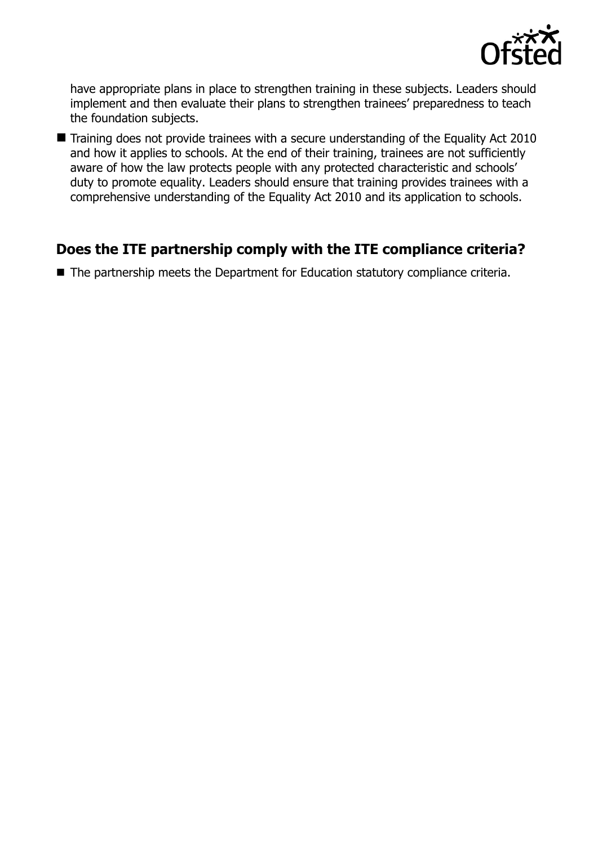

have appropriate plans in place to strengthen training in these subjects. Leaders should implement and then evaluate their plans to strengthen trainees' preparedness to teach the foundation subjects.

■ Training does not provide trainees with a secure understanding of the Equality Act 2010 and how it applies to schools. At the end of their training, trainees are not sufficiently aware of how the law protects people with any protected characteristic and schools' duty to promote equality. Leaders should ensure that training provides trainees with a comprehensive understanding of the Equality Act 2010 and its application to schools.

#### **Does the ITE partnership comply with the ITE compliance criteria?**

■ The partnership meets the Department for Education statutory compliance criteria.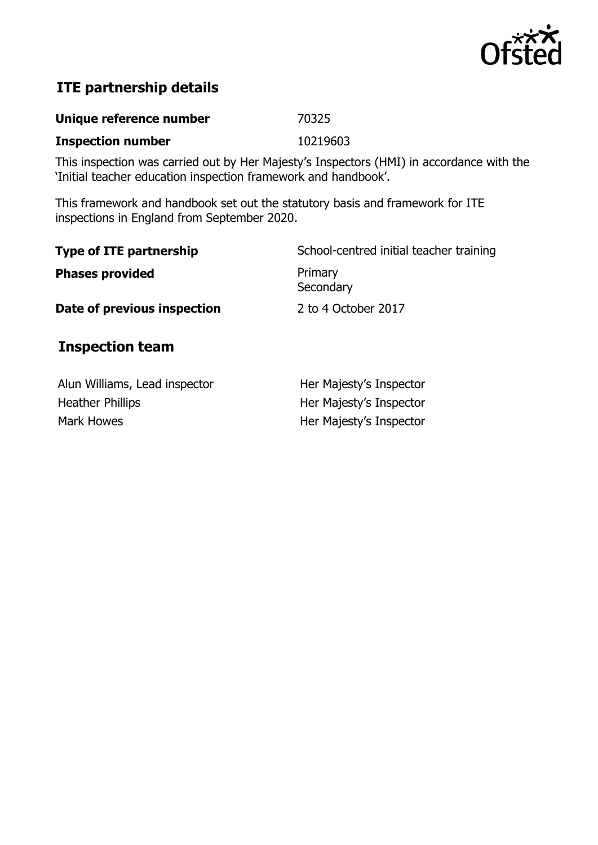

# **ITE partnership details**

| Unique reference number  | 70325    |
|--------------------------|----------|
| <b>Inspection number</b> | 10219603 |

This inspection was carried out by Her Majesty's Inspectors (HMI) in accordance with the 'Initial teacher education inspection framework and handbook'.

This framework and handbook set out the statutory basis and framework for ITE inspections in England from September 2020.

| <b>Type of ITE partnership</b> | School-centred initial teacher training |  |  |
|--------------------------------|-----------------------------------------|--|--|
| <b>Phases provided</b>         | Primary<br>Secondary                    |  |  |
| Date of previous inspection    | 2 to 4 October 2017                     |  |  |
| <b>Inspection team</b>         |                                         |  |  |
| Alun Williams, Lead inspector  | Her Majesty's Inspector                 |  |  |
| Heather Phillips               | Her Majesty's Inspector                 |  |  |
| <b>Mark Howes</b>              | Her Majesty's Inspector                 |  |  |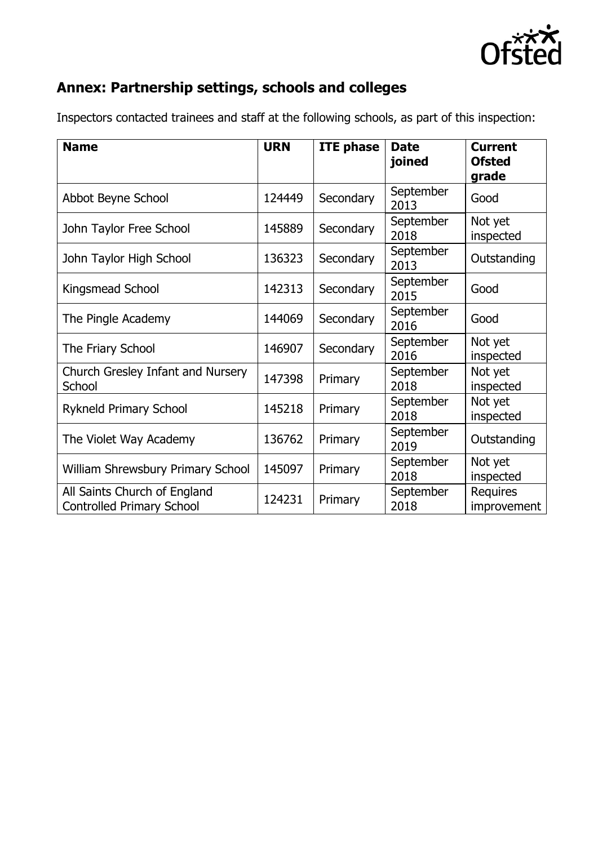

# **Annex: Partnership settings, schools and colleges**

| <b>Name</b>                                                      | <b>URN</b> | <b>ITE</b> phase | <b>Date</b><br>joined | <b>Current</b><br><b>Ofsted</b><br>grade |
|------------------------------------------------------------------|------------|------------------|-----------------------|------------------------------------------|
| Abbot Beyne School                                               | 124449     | Secondary        | September<br>2013     | Good                                     |
| John Taylor Free School                                          | 145889     | Secondary        | September<br>2018     | Not yet<br>inspected                     |
| John Taylor High School                                          | 136323     | Secondary        | September<br>2013     | Outstanding                              |
| Kingsmead School                                                 | 142313     | Secondary        | September<br>2015     | Good                                     |
| The Pingle Academy                                               | 144069     | Secondary        | September<br>2016     | Good                                     |
| The Friary School                                                | 146907     | Secondary        | September<br>2016     | Not yet<br>inspected                     |
| Church Gresley Infant and Nursery<br>School                      | 147398     | Primary          | September<br>2018     | Not yet<br>inspected                     |
| <b>Rykneld Primary School</b>                                    | 145218     | Primary          | September<br>2018     | Not yet<br>inspected                     |
| The Violet Way Academy                                           | 136762     | Primary          | September<br>2019     | Outstanding                              |
| William Shrewsbury Primary School                                | 145097     | Primary          | September<br>2018     | Not yet<br>inspected                     |
| All Saints Church of England<br><b>Controlled Primary School</b> | 124231     | Primary          | September<br>2018     | <b>Requires</b><br>improvement           |

Inspectors contacted trainees and staff at the following schools, as part of this inspection: